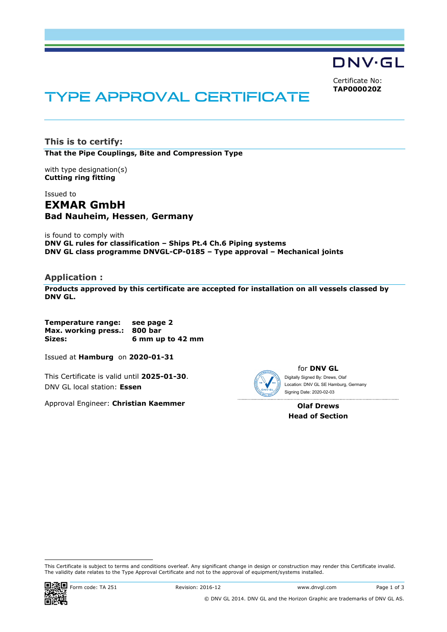DNV·GL

Certificate No: **TAP000020Z**

# TYPE APPROVAL CERTIFICATE

**This is to certify: That the Pipe Couplings, Bite and Compression Type**

with type designation(s) **Cutting ring fitting**

Issued to **EXMAR GmbH Bad Nauheim, Hessen**, **Germany** 

is found to comply with **DNV GL rules for classification – Ships Pt.4 Ch.6 Piping systems DNV GL class programme DNVGL-CP-0185 – Type approval – Mechanical joints** 

# **Application :**

**Products approved by this certificate are accepted for installation on all vessels classed by DNV GL.**

**Temperature range: see page 2 Max. working press.: 800 bar Sizes: 6 mm up to 42 mm** 

Issued at **Hamburg** on **2020-01-31**

This Certificate is valid until **2025-01-30**. DNV GL local station: **Essen**

Approval Engineer: **Christian Kaemmer**



for **DNV GL** Digitally Signed By: Drews, Olaf Location: DNV GL SE Hamburg, Germany

**Olaf Drews Head of Section** 

Signing Date: 2020-02-03

This Certificate is subject to terms and conditions overleaf. Any significant change in design or construction may render this Certificate invalid. The validity date relates to the Type Approval Certificate and not to the approval of equipment/systems installed.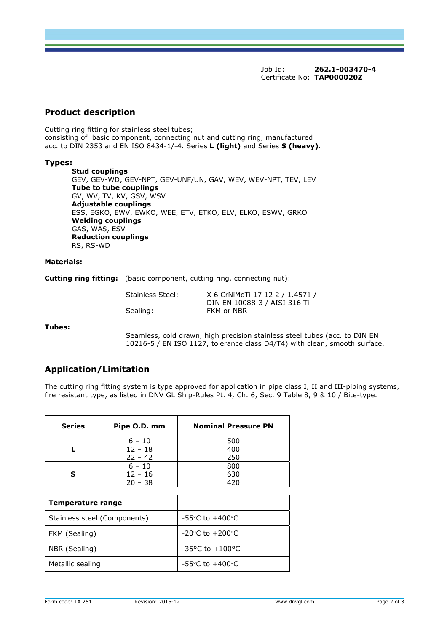Job Id: **262.1-003470-4**  Certificate No: **TAP000020Z**

# **Product description**

Cutting ring fitting for stainless steel tubes; consisting of basic component, connecting nut and cutting ring, manufactured acc. to DIN 2353 and EN ISO 8434-1/-4. Series **L (light)** and Series **S (heavy)**.

### **Types:**

**Stud couplings**  GEV, GEV-WD, GEV-NPT, GEV-UNF/UN, GAV, WEV, WEV-NPT, TEV, LEV **Tube to tube couplings** GV, WV, TV, KV, GSV, WSV **Adjustable couplings** ESS, EGKO, EWV, EWKO, WEE, ETV, ETKO, ELV, ELKO, ESWV, GRKO **Welding couplings** GAS, WAS, ESV **Reduction couplings** RS, RS-WD

#### **Materials:**

**Cutting ring fitting:** (basic component, cutting ring, connecting nut):

| Stainless Steel: | X 6 CrNiMoTi 17 12 2 / 1.4571 / |
|------------------|---------------------------------|
|                  | DIN EN 10088-3 / AISI 316 Ti    |
| Sealing:         | FKM or NBR                      |

**Tubes:** 

Seamless, cold drawn, high precision stainless steel tubes (acc. to DIN EN 10216-5 / EN ISO 1127, tolerance class D4/T4) with clean, smooth surface.

# **Application/Limitation**

The cutting ring fitting system is type approved for application in pipe class I, II and III-piping systems, fire resistant type, as listed in DNV GL Ship-Rules Pt. 4, Ch. 6, Sec. 9 Table 8, 9 & 10 / Bite-type.

| <b>Series</b> | Pipe O.D. mm | <b>Nominal Pressure PN</b> |
|---------------|--------------|----------------------------|
|               | $6 - 10$     | 500                        |
|               | $12 - 18$    | 400                        |
|               | $22 - 42$    | 250                        |
|               | $6 - 10$     | 800                        |
|               | $12 - 16$    | 630                        |
|               | $20 - 38$    | 420                        |

| Temperature range            |                                     |
|------------------------------|-------------------------------------|
| Stainless steel (Components) | -55 $\degree$ C to +400 $\degree$ C |
| FKM (Sealing)                | $-20^{\circ}$ C to $+200^{\circ}$ C |
| NBR (Sealing)                | $-35^{\circ}$ C to $+100^{\circ}$ C |
| Metallic sealing             | $-55^{\circ}$ C to $+400^{\circ}$ C |